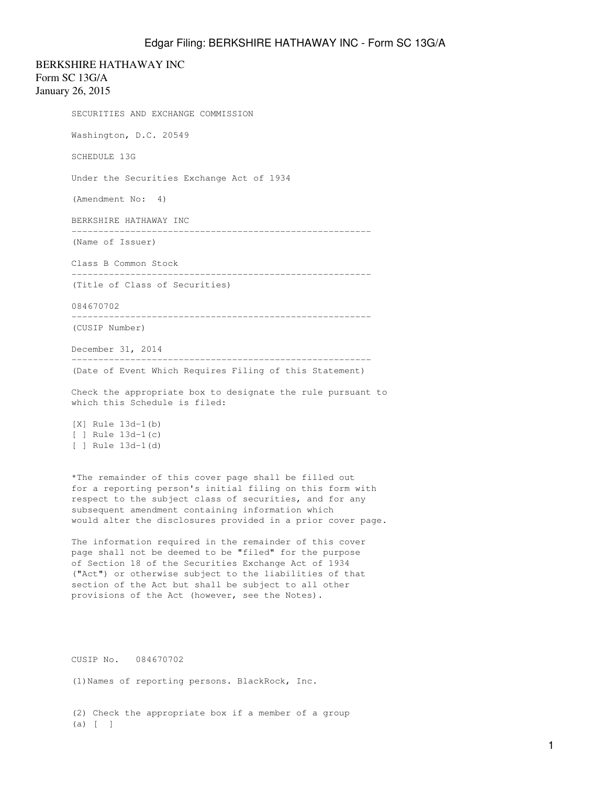BERKSHIRE HATHAWAY INC

Form SC 13G/A January 26, 2015

> SECURITIES AND EXCHANGE COMMISSION Washington, D.C. 20549 SCHEDULE 13G Under the Securities Exchange Act of 1934 (Amendment No: 4) BERKSHIRE HATHAWAY INC -------------------------------------------------------- (Name of Issuer) Class B Common Stock -------------------------------------------------------- (Title of Class of Securities) 084670702 -------------------------------------------------------- (CUSIP Number) December 31, 2014 -------------------------------------------------------- (Date of Event Which Requires Filing of this Statement) Check the appropriate box to designate the rule pursuant to which this Schedule is filed: [X] Rule 13d-1(b) [ ] Rule 13d-1(c) [ ] Rule 13d-1(d) \*The remainder of this cover page shall be filled out for a reporting person's initial filing on this form with respect to the subject class of securities, and for any subsequent amendment containing information which would alter the disclosures provided in a prior cover page.

The information required in the remainder of this cover page shall not be deemed to be "filed" for the purpose of Section 18 of the Securities Exchange Act of 1934 ("Act") or otherwise subject to the liabilities of that section of the Act but shall be subject to all other provisions of the Act (however, see the Notes).

CUSIP No. 084670702

(1)Names of reporting persons. BlackRock, Inc.

(2) Check the appropriate box if a member of a group (a) [ ]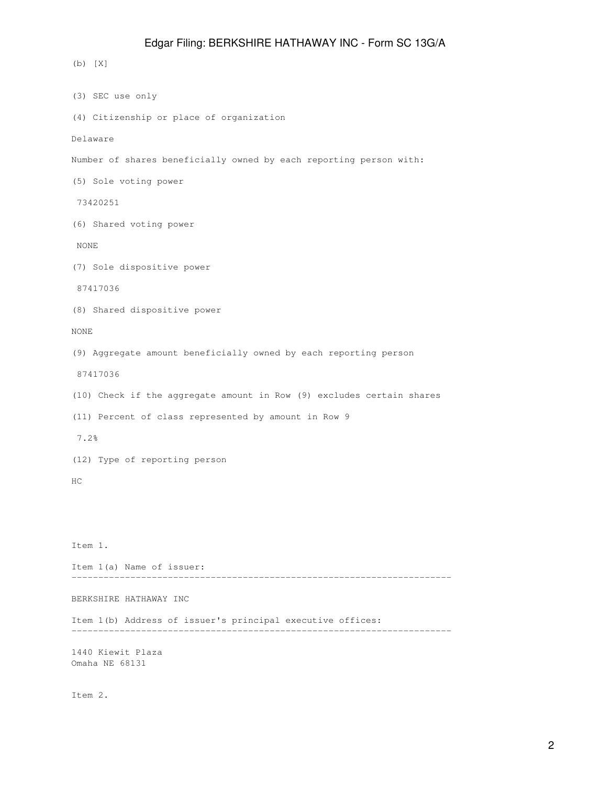(b) [X] (3) SEC use only (4) Citizenship or place of organization Delaware Number of shares beneficially owned by each reporting person with: (5) Sole voting power 73420251 (6) Shared voting power NONE (7) Sole dispositive power 87417036 (8) Shared dispositive power NONE (9) Aggregate amount beneficially owned by each reporting person 87417036 (10) Check if the aggregate amount in Row (9) excludes certain shares (11) Percent of class represented by amount in Row 9 7.2% (12) Type of reporting person HC Item 1. Item 1(a) Name of issuer: ----------------------------------------------------------------------- BERKSHIRE HATHAWAY INC Item 1(b) Address of issuer's principal executive offices: ----------------------------------------------------------------------- 1440 Kiewit Plaza Omaha NE 68131 Item 2.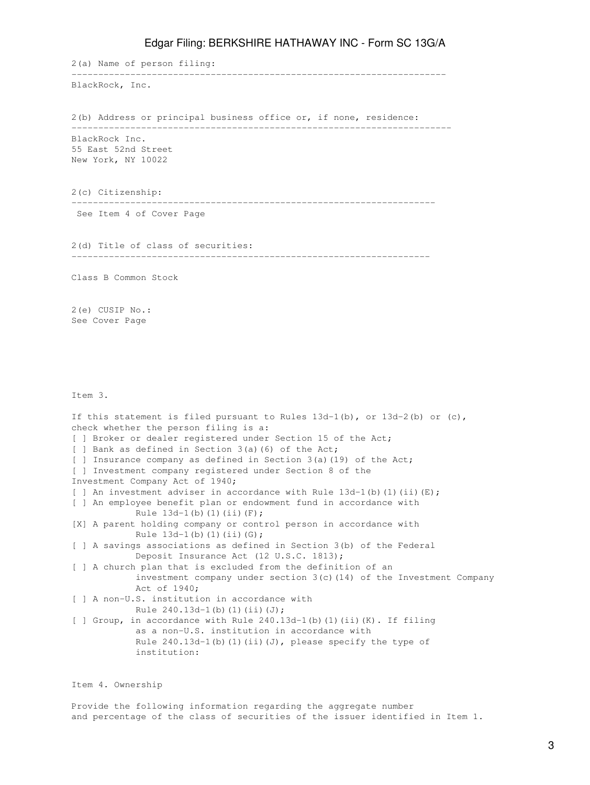2(a) Name of person filing: ---------------------------------------------------------------------- BlackRock, Inc. 2(b) Address or principal business office or, if none, residence: ----------------------------------------------------------------------- BlackRock Inc. 55 East 52nd Street New York, NY 10022 2(c) Citizenship: -------------------------------------------------------------------- See Item 4 of Cover Page 2(d) Title of class of securities: ------------------------------------------------------------------- Class B Common Stock 2(e) CUSIP No.: See Cover Page Item 3. If this statement is filed pursuant to Rules  $13d-1(b)$ , or  $13d-2(b)$  or (c),

check whether the person filing is a: [ ] Broker or dealer registered under Section 15 of the Act; [ ] Bank as defined in Section 3(a)(6) of the Act; [ ] Insurance company as defined in Section 3(a)(19) of the Act; [ ] Investment company registered under Section 8 of the Investment Company Act of 1940; [ ] An investment adviser in accordance with Rule  $13d-1$  (b) (1) (ii) (E); [ ] An employee benefit plan or endowment fund in accordance with Rule  $13d-1(b)$  (1)(ii)(F); [X] A parent holding company or control person in accordance with Rule  $13d-1(b)(1)(ii)(G);$ [ ] A savings associations as defined in Section 3(b) of the Federal Deposit Insurance Act (12 U.S.C. 1813); [ ] A church plan that is excluded from the definition of an investment company under section  $3(c)$  (14) of the Investment Company Act of 1940; [ ] A non-U.S. institution in accordance with Rule  $240.13d-1(b)(1)(ii)(J);$ [ ] Group, in accordance with Rule 240.13d-1(b)(1)(ii)(K). If filing as a non-U.S. institution in accordance with Rule  $240.13d-1$ (b)(1)(ii)(J), please specify the type of institution:

Item 4. Ownership

Provide the following information regarding the aggregate number and percentage of the class of securities of the issuer identified in Item 1.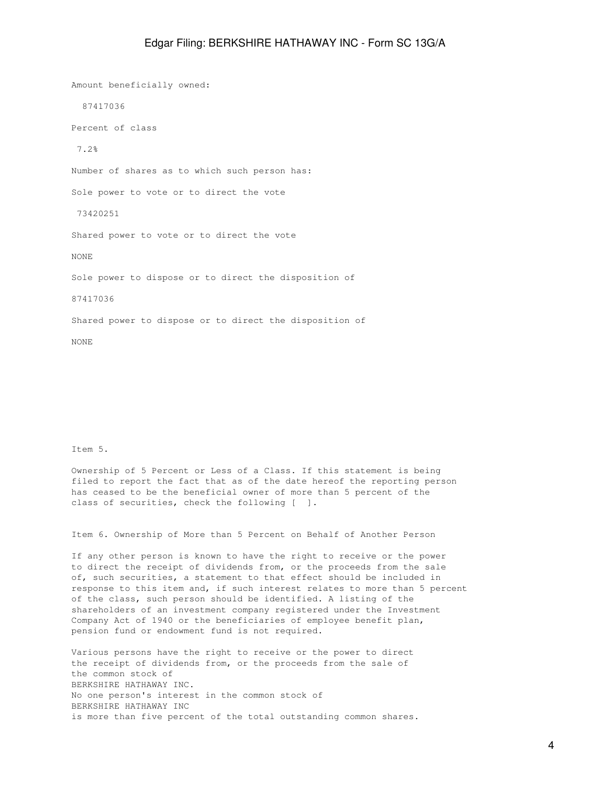Amount beneficially owned: 87417036 Percent of class 7.2% Number of shares as to which such person has: Sole power to vote or to direct the vote 73420251 Shared power to vote or to direct the vote NONE Sole power to dispose or to direct the disposition of 87417036 Shared power to dispose or to direct the disposition of

Item 5.

NONE

Ownership of 5 Percent or Less of a Class. If this statement is being filed to report the fact that as of the date hereof the reporting person has ceased to be the beneficial owner of more than 5 percent of the class of securities, check the following [ ].

Item 6. Ownership of More than 5 Percent on Behalf of Another Person

If any other person is known to have the right to receive or the power to direct the receipt of dividends from, or the proceeds from the sale of, such securities, a statement to that effect should be included in response to this item and, if such interest relates to more than 5 percent of the class, such person should be identified. A listing of the shareholders of an investment company registered under the Investment Company Act of 1940 or the beneficiaries of employee benefit plan, pension fund or endowment fund is not required.

Various persons have the right to receive or the power to direct the receipt of dividends from, or the proceeds from the sale of the common stock of BERKSHIRE HATHAWAY INC. No one person's interest in the common stock of BERKSHIRE HATHAWAY INC is more than five percent of the total outstanding common shares.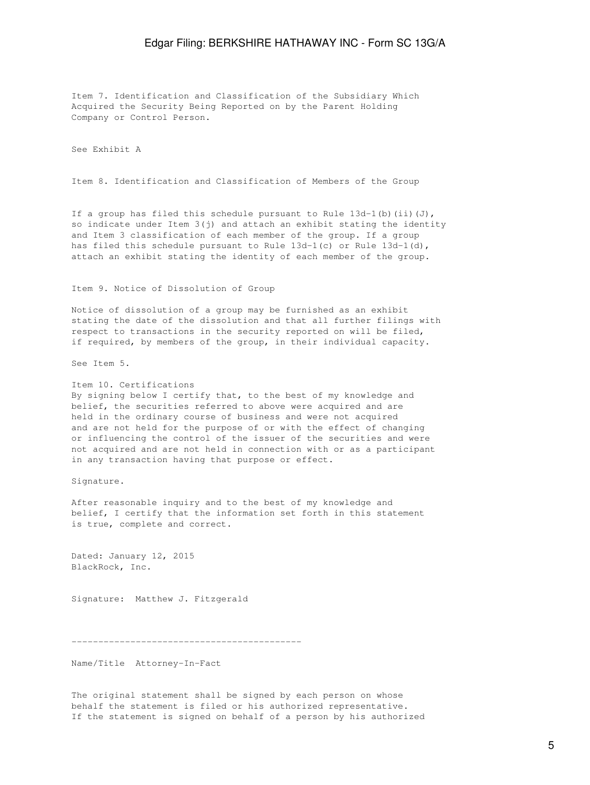Item 7. Identification and Classification of the Subsidiary Which Acquired the Security Being Reported on by the Parent Holding Company or Control Person.

See Exhibit A

Item 8. Identification and Classification of Members of the Group

If a group has filed this schedule pursuant to Rule  $13d-1$  (b) (ii)(J), so indicate under Item 3(j) and attach an exhibit stating the identity and Item 3 classification of each member of the group. If a group has filed this schedule pursuant to Rule  $13d-1(c)$  or Rule  $13d-1(d)$ , attach an exhibit stating the identity of each member of the group.

### Item 9. Notice of Dissolution of Group

Notice of dissolution of a group may be furnished as an exhibit stating the date of the dissolution and that all further filings with respect to transactions in the security reported on will be filed, if required, by members of the group, in their individual capacity.

See Item 5.

#### Item 10. Certifications

By signing below I certify that, to the best of my knowledge and belief, the securities referred to above were acquired and are held in the ordinary course of business and were not acquired and are not held for the purpose of or with the effect of changing or influencing the control of the issuer of the securities and were not acquired and are not held in connection with or as a participant in any transaction having that purpose or effect.

Signature.

After reasonable inquiry and to the best of my knowledge and belief, I certify that the information set forth in this statement is true, complete and correct.

Dated: January 12, 2015 BlackRock, Inc.

Signature: Matthew J. Fitzgerald

-------------------------------------------

Name/Title Attorney-In-Fact

The original statement shall be signed by each person on whose behalf the statement is filed or his authorized representative. If the statement is signed on behalf of a person by his authorized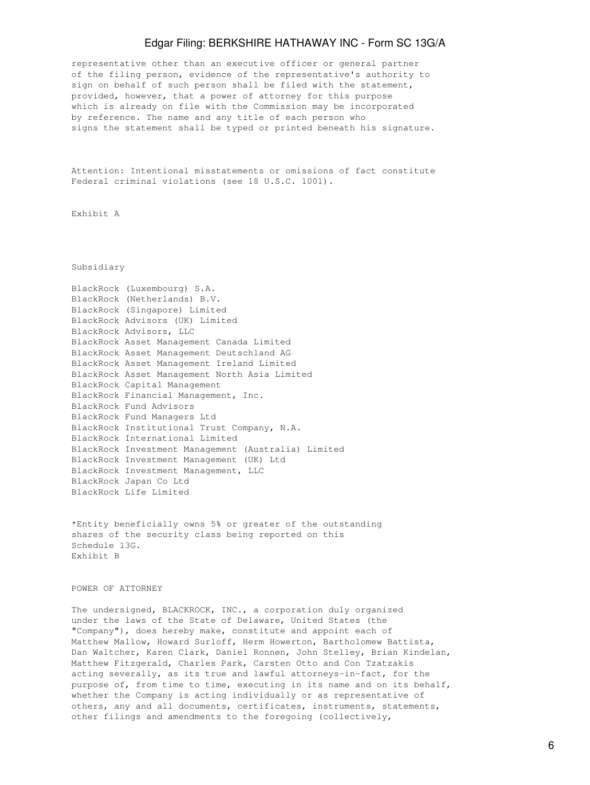representative other than an executive officer or general partner of the filing person, evidence of the representative's authority to sign on behalf of such person shall be filed with the statement, provided, however, that a power of attorney for this purpose which is already on file with the Commission may be incorporated by reference. The name and any title of each person who signs the statement shall be typed or printed beneath his signature.

Attention: Intentional misstatements or omissions of fact constitute Federal criminal violations (see 18 U.S.C. 1001).

Exhibit A

Subsidiary

| BlackRock (Luxembourg) S.A.                         |
|-----------------------------------------------------|
| BlackRock (Netherlands) B.V.                        |
| BlackRock (Singapore) Limited                       |
| BlackRock Advisors (UK) Limited                     |
| BlackRock Advisors, LLC                             |
| BlackRock Asset Management Canada Limited           |
| BlackRock Asset Management Deutschland AG           |
| BlackRock Asset Management Ireland Limited          |
| BlackRock Asset Management North Asia Limited       |
| BlackRock Capital Management                        |
| BlackRock Financial Management, Inc.                |
| BlackRock Fund Advisors                             |
| BlackRock Fund Managers Ltd                         |
| BlackRock Institutional Trust Company, N.A.         |
| BlackRock International Limited                     |
| BlackRock Investment Management (Australia) Limited |
| BlackRock Investment Management (UK) Ltd            |
| BlackRock Investment Management, LLC                |
| BlackRock Japan Co Ltd                              |
| BlackRock Life Limited                              |
|                                                     |

\*Entity beneficially owns 5% or greater of the outstanding shares of the security class being reported on this Schedule 13G. Exhibit B

POWER OF ATTORNEY

The undersigned, BLACKROCK, INC., a corporation duly organized under the laws of the State of Delaware, United States (the "Company"), does hereby make, constitute and appoint each of Matthew Mallow, Howard Surloff, Herm Howerton, Bartholomew Battista, Dan Waltcher, Karen Clark, Daniel Ronnen, John Stelley, Brian Kindelan, Matthew Fitzgerald, Charles Park, Carsten Otto and Con Tzatzakis acting severally, as its true and lawful attorneys-in-fact, for the purpose of, from time to time, executing in its name and on its behalf, whether the Company is acting individually or as representative of others, any and all documents, certificates, instruments, statements, other filings and amendments to the foregoing (collectively,